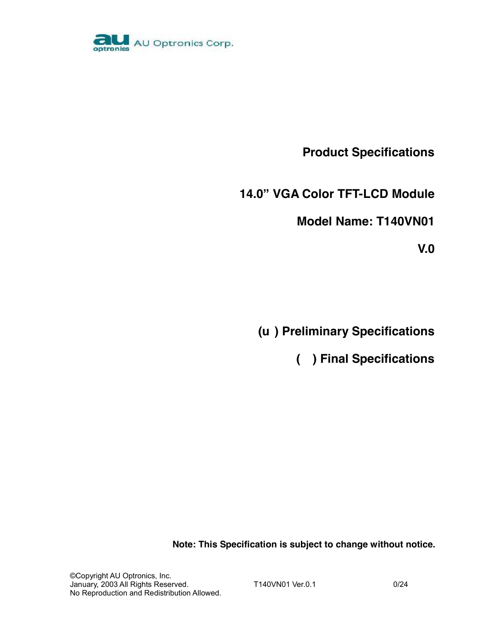

**Product Specifications** 

**14.0" VGA Color TFT-LCD Module** 

**Model Name: T140VN01** 

**V.0** 

 **(u ) Preliminary Specifications** 

 **( ) Final Specifications** 

**Note: This Specification is subject to change without notice.** 

©Copyright AU Optronics, Inc. January, 2003 All Rights Reserved. T140VN01 Ver.0.1 6/24 No Reproduction and Redistribution Allowed.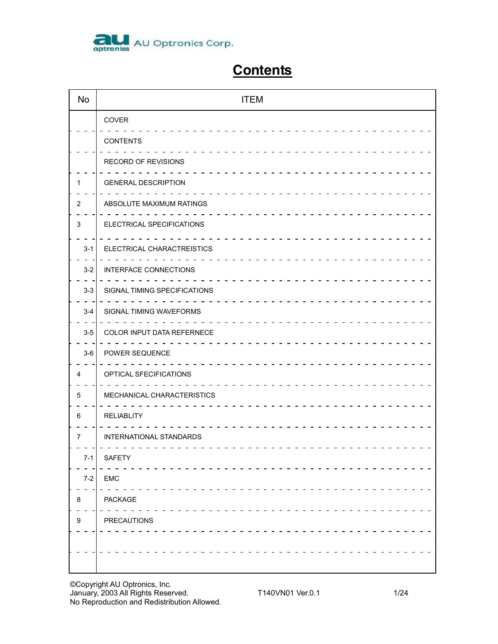

# **Contents**

| <b>No</b>                 | <b>ITEM</b>                  |
|---------------------------|------------------------------|
|                           | COVER                        |
|                           | <b>CONTENTS</b>              |
|                           | RECORD OF REVISIONS          |
| 1                         | <b>GENERAL DESCRIPTION</b>   |
| 2                         | ABSOLUTE MAXIMUM RATINGS     |
| $\ensuremath{\mathsf{3}}$ | ELECTRICAL SPECIFICATIONS    |
| $3-1$                     | ELECTRICAL CHARACTREISTICS   |
| $3 - 2$                   | <b>INTERFACE CONNECTIONS</b> |
| $3-3$                     | SIGNAL TIMING SPECIFICATIONS |
| $3-4$                     | SIGNAL TIMING WAVEFORMS      |
| $3-5$                     | COLOR INPUT DATA REFERNECE   |
| $3-6$                     | POWER SEQUENCE               |
| 4                         | OPTICAL SFECIFICATIONS       |
| 5                         | MECHANICAL CHARACTERISTICS   |
| 6                         | <b>RELIABLITY</b>            |
| 7                         | INTERNATIONAL STANDARDS      |
| $7-1$                     | SAFETY                       |
| $7-2$                     | <b>EMC</b>                   |
| 8                         | PACKAGE                      |
| 9                         | PRECAUTIONS                  |
|                           |                              |
|                           |                              |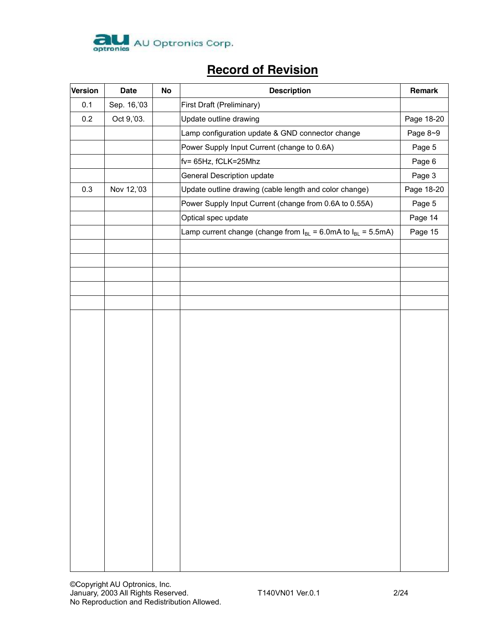

# **Record of Revision**

| <b>Version</b> | <b>Date</b> | No | <b>Description</b>                                                       | Remark     |
|----------------|-------------|----|--------------------------------------------------------------------------|------------|
| 0.1            | Sep. 16,'03 |    | First Draft (Preliminary)                                                |            |
| 0.2            | Oct 9, '03. |    | Update outline drawing                                                   | Page 18-20 |
|                |             |    | Lamp configuration update & GND connector change                         | Page 8~9   |
|                |             |    | Power Supply Input Current (change to 0.6A)                              | Page 5     |
|                |             |    | fv= 65Hz, fCLK=25Mhz                                                     | Page 6     |
|                |             |    | General Description update                                               | Page 3     |
| 0.3            | Nov 12,'03  |    | Update outline drawing (cable length and color change)                   | Page 18-20 |
|                |             |    | Power Supply Input Current (change from 0.6A to 0.55A)                   | Page 5     |
|                |             |    | Optical spec update                                                      | Page 14    |
|                |             |    | Lamp current change (change from $I_{BL} = 6.0$ mA to $I_{BL} = 5.5$ mA) | Page 15    |
|                |             |    |                                                                          |            |
|                |             |    |                                                                          |            |
|                |             |    |                                                                          |            |
|                |             |    |                                                                          |            |
|                |             |    |                                                                          |            |
|                |             |    |                                                                          |            |
|                |             |    |                                                                          |            |
|                |             |    |                                                                          |            |
|                |             |    |                                                                          |            |
|                |             |    |                                                                          |            |
|                |             |    |                                                                          |            |
|                |             |    |                                                                          |            |
|                |             |    |                                                                          |            |
|                |             |    |                                                                          |            |
|                |             |    |                                                                          |            |
|                |             |    |                                                                          |            |
|                |             |    |                                                                          |            |
|                |             |    |                                                                          |            |
|                |             |    |                                                                          |            |
|                |             |    |                                                                          |            |
|                |             |    |                                                                          |            |
|                |             |    |                                                                          |            |
|                |             |    |                                                                          |            |
|                |             |    |                                                                          |            |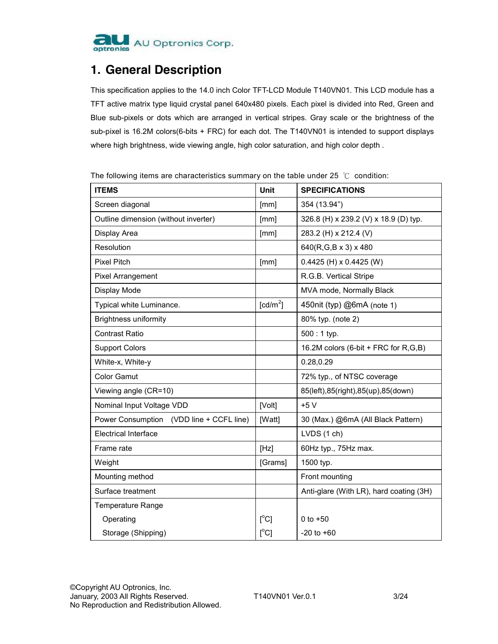

### **1. General Description**

This specification applies to the 14.0 inch Color TFT-LCD Module T140VN01. This LCD module has a TFT active matrix type liquid crystal panel 640x480 pixels. Each pixel is divided into Red, Green and Blue sub-pixels or dots which are arranged in vertical stripes. Gray scale or the brightness of the sub-pixel is 16.2M colors(6-bits + FRC) for each dot. The T140VN01 is intended to support displays where high brightness, wide viewing angle, high color saturation, and high color depth .

The following items are characteristics summary on the table under 25  $°C$  condition:

| <b>ITEMS</b>                             | Unit                                | <b>SPECIFICATIONS</b>                   |
|------------------------------------------|-------------------------------------|-----------------------------------------|
| Screen diagonal                          | [mm]                                | 354 (13.94")                            |
| Outline dimension (without inverter)     | [mm]                                | 326.8 (H) x 239.2 (V) x 18.9 (D) typ.   |
| Display Area                             | [mm]                                | 283.2 (H) x 212.4 (V)                   |
| Resolution                               |                                     | 640(R,G,B x 3) x 480                    |
| <b>Pixel Pitch</b>                       | [mm]                                | $0.4425$ (H) x $0.4425$ (W)             |
| Pixel Arrangement                        |                                     | R.G.B. Vertical Stripe                  |
| Display Mode                             |                                     | MVA mode, Normally Black                |
| Typical white Luminance.                 | $\lceil$ cd/m <sup>2</sup> $\rceil$ | 450nit (typ) @6mA (note 1)              |
| <b>Brightness uniformity</b>             |                                     | 80% typ. (note 2)                       |
| <b>Contrast Ratio</b>                    |                                     | $500:1$ typ.                            |
| <b>Support Colors</b>                    |                                     | 16.2M colors (6-bit + FRC for R,G,B)    |
| White-x, White-y                         |                                     | 0.28,0.29                               |
| <b>Color Gamut</b>                       |                                     | 72% typ., of NTSC coverage              |
| Viewing angle (CR=10)                    |                                     | 85(left), 85(right), 85(up), 85(down)   |
| Nominal Input Voltage VDD                | [Volt]                              | $+5V$                                   |
| Power Consumption (VDD line + CCFL line) | [Watt]                              | 30 (Max.) @6mA (All Black Pattern)      |
| <b>Electrical Interface</b>              |                                     | LVDS (1 ch)                             |
| Frame rate                               | [Hz]                                | 60Hz typ., 75Hz max.                    |
| Weight                                   | [Grams]                             | 1500 typ.                               |
| Mounting method                          |                                     | Front mounting                          |
| Surface treatment                        |                                     | Anti-glare (With LR), hard coating (3H) |
| <b>Temperature Range</b>                 |                                     |                                         |
| Operating                                | $[^{\circ}C]$                       | 0 to $+50$                              |
| Storage (Shipping)                       | [°C]                                | $-20$ to $+60$                          |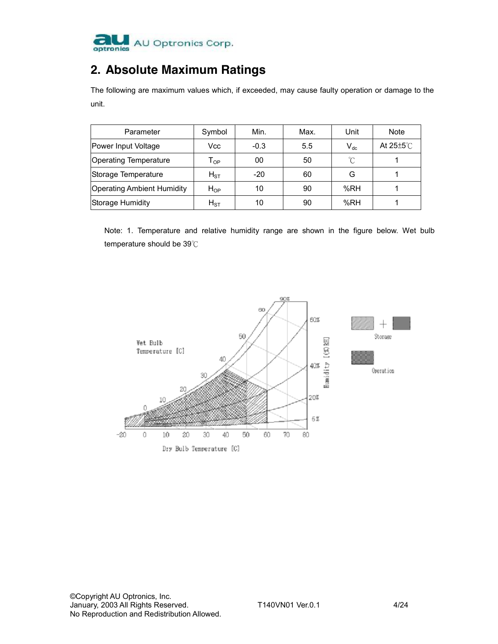

## **2. Absolute Maximum Ratings**

The following are maximum values which, if exceeded, may cause faulty operation or damage to the unit.

| Parameter                         | Symbol                     | Min.   | Max. | Unit     | <b>Note</b>             |
|-----------------------------------|----------------------------|--------|------|----------|-------------------------|
| Power Input Voltage               | Vcc                        | $-0.3$ | 5.5  | $V_{dc}$ | At $25 \pm 5^{\circ}$ C |
| <b>Operating Temperature</b>      | $\mathsf{T}_{\mathsf{OP}}$ | 00     | 50   | °C       |                         |
| Storage Temperature               | $H_{ST}$                   | $-20$  | 60   | G        |                         |
| <b>Operating Ambient Humidity</b> | $H_{OP}$                   | 10     | 90   | %RH      |                         |
| <b>Storage Humidity</b>           | $H_{\rm ST}$               | 10     | 90   | %RH      |                         |

Note: 1. Temperature and relative humidity range are shown in the figure below. Wet bulb temperature should be 39℃

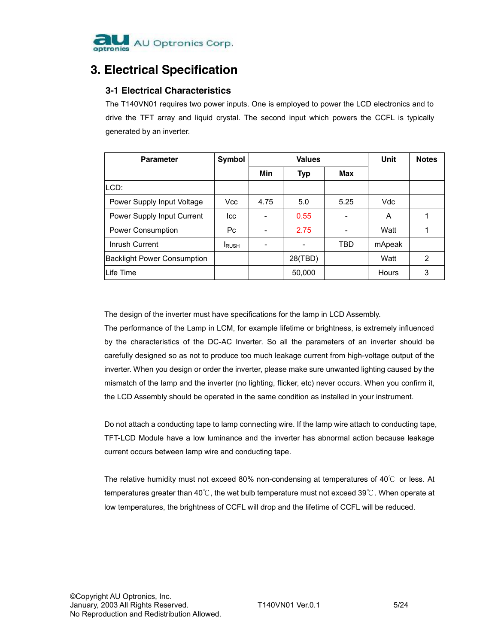

## **3. Electrical Specification**

### **3-1 Electrical Characteristics**

The T140VN01 requires two power inputs. One is employed to power the LCD electronics and to drive the TFT array and liquid crystal. The second input which powers the CCFL is typically generated by an inverter.

| <b>Parameter</b>                   | Symbol        |      | <b>Values</b> | Unit | <b>Notes</b> |   |
|------------------------------------|---------------|------|---------------|------|--------------|---|
|                                    |               | Min  | Typ           | Max  |              |   |
| LCD:                               |               |      |               |      |              |   |
| Power Supply Input Voltage         | Vcc           | 4.75 | 5.0           | 5.25 | Vdc          |   |
| Power Supply Input Current         | Icc           |      | 0.55          |      | A            |   |
| Power Consumption                  | Pc.           |      | 2.75          |      | Watt         |   |
| Inrush Current                     | <b>I</b> RUSH |      |               | TBD  | mApeak       |   |
| <b>Backlight Power Consumption</b> |               |      | 28(TBD)       |      | Watt         | 2 |
| lLife Time                         |               |      | 50,000        |      | Hours        | 3 |

The design of the inverter must have specifications for the lamp in LCD Assembly.

The performance of the Lamp in LCM, for example lifetime or brightness, is extremely influenced by the characteristics of the DC-AC Inverter. So all the parameters of an inverter should be carefully designed so as not to produce too much leakage current from high-voltage output of the inverter. When you design or order the inverter, please make sure unwanted lighting caused by the mismatch of the lamp and the inverter (no lighting, flicker, etc) never occurs. When you confirm it, the LCD Assembly should be operated in the same condition as installed in your instrument.

Do not attach a conducting tape to lamp connecting wire. If the lamp wire attach to conducting tape, TFT-LCD Module have a low luminance and the inverter has abnormal action because leakage current occurs between lamp wire and conducting tape.

The relative humidity must not exceed 80% non-condensing at temperatures of 40℃ or less. At temperatures greater than 40℃, the wet bulb temperature must not exceed 39℃. When operate at low temperatures, the brightness of CCFL will drop and the lifetime of CCFL will be reduced.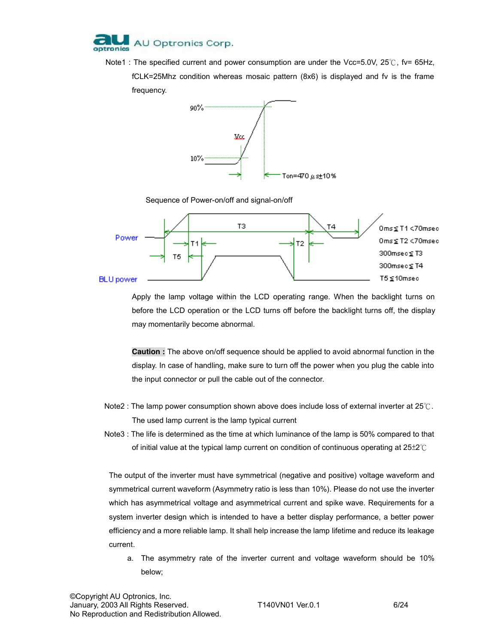

Note1 : The specified current and power consumption are under the Vcc=5.0V, 25℃, fv= 65Hz, fCLK=25Mhz condition whereas mosaic pattern (8x6) is displayed and fv is the frame frequency.







Apply the lamp voltage within the LCD operating range. When the backlight turns on before the LCD operation or the LCD turns off before the backlight turns off, the display may momentarily become abnormal.

**Caution :** The above on/off sequence should be applied to avoid abnormal function in the display. In case of handling, make sure to turn off the power when you plug the cable into the input connector or pull the cable out of the connector.

- Note2 : The lamp power consumption shown above does include loss of external inverter at 25℃. The used lamp current is the lamp typical current
- Note3 : The life is determined as the time at which luminance of the lamp is 50% compared to that of initial value at the typical lamp current on condition of continuous operating at 25±2℃

The output of the inverter must have symmetrical (negative and positive) voltage waveform and symmetrical current waveform (Asymmetry ratio is less than 10%). Please do not use the inverter which has asymmetrical voltage and asymmetrical current and spike wave. Requirements for a system inverter design which is intended to have a better display performance, a better power efficiency and a more reliable lamp. It shall help increase the lamp lifetime and reduce its leakage current.

a. The asymmetry rate of the inverter current and voltage waveform should be 10% below;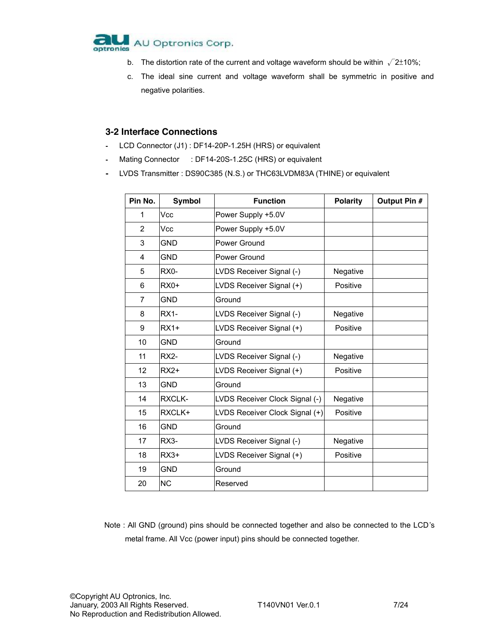

- b. The distortion rate of the current and voltage waveform should be within  $\sqrt{2}$ ±10%;
- c. The ideal sine current and voltage waveform shall be symmetric in positive and negative polarities.

#### **3-2 Interface Connections**

- LCD Connector (J1) : DF14-20P-1.25H (HRS) or equivalent
- Mating Connector : DF14-20S-1.25C (HRS) or equivalent
- LVDS Transmitter : DS90C385 (N.S.) or THC63LVDM83A (THINE) or equivalent

| Pin No.        | <b>Symbol</b> | <b>Function</b>                | <b>Polarity</b> | Output Pin # |
|----------------|---------------|--------------------------------|-----------------|--------------|
| 1              | Vcc           | Power Supply +5.0V             |                 |              |
| 2              | Vcc           | Power Supply +5.0V             |                 |              |
| 3              | <b>GND</b>    | Power Ground                   |                 |              |
| 4              | <b>GND</b>    | Power Ground                   |                 |              |
| 5              | RX0-          | LVDS Receiver Signal (-)       | Negative        |              |
| 6              | $RX0+$        | LVDS Receiver Signal (+)       | Positive        |              |
| $\overline{7}$ | <b>GND</b>    | Ground                         |                 |              |
| 8              | <b>RX1-</b>   | LVDS Receiver Signal (-)       | Negative        |              |
| 9              | $RX1+$        | LVDS Receiver Signal (+)       | Positive        |              |
| 10             | <b>GND</b>    | Ground                         |                 |              |
| 11             | <b>RX2-</b>   | LVDS Receiver Signal (-)       | Negative        |              |
| 12             | $RX2+$        | LVDS Receiver Signal (+)       | Positive        |              |
| 13             | <b>GND</b>    | Ground                         |                 |              |
| 14             | RXCLK-        | LVDS Receiver Clock Signal (-) | Negative        |              |
| 15             | RXCLK+        | LVDS Receiver Clock Signal (+) | Positive        |              |
| 16             | <b>GND</b>    | Ground                         |                 |              |
| 17             | $RX3-$        | LVDS Receiver Signal (-)       | Negative        |              |
| 18             | $RX3+$        | LVDS Receiver Signal (+)       | Positive        |              |
| 19             | <b>GND</b>    | Ground                         |                 |              |
| 20             | <b>NC</b>     | Reserved                       |                 |              |

Note : All GND (ground) pins should be connected together and also be connected to the LCD's metal frame. All Vcc (power input) pins should be connected together.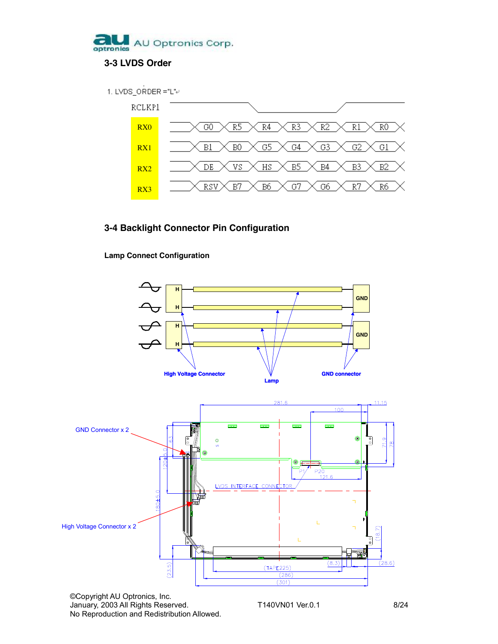



### **3-4 Backlight Connector Pin Configuration**

**Lamp Connect Configuration**



No Reproduction and Redistribution Allowed.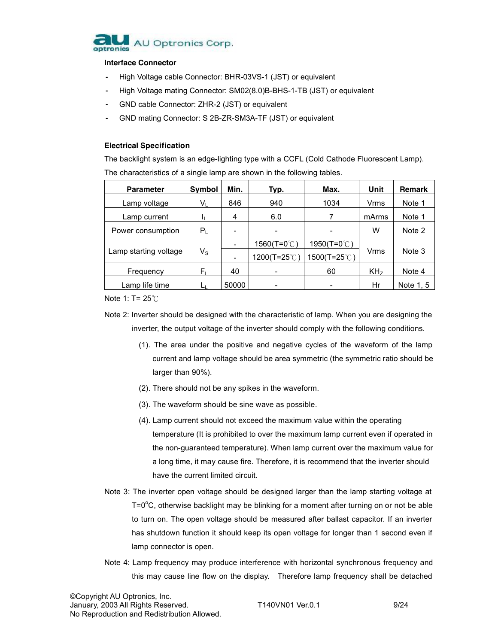

#### **Interface Connector**

- High Voltage cable Connector: BHR-03VS-1 (JST) or equivalent
- High Voltage mating Connector: SM02(8.0)B-BHS-1-TB (JST) or equivalent
- GND cable Connector: ZHR-2 (JST) or equivalent
- GND mating Connector: S 2B-ZR-SM3A-TF (JST) or equivalent

#### **Electrical Specification**

The backlight system is an edge-lighting type with a CCFL (Cold Cathode Fluorescent Lamp). The characteristics of a single lamp are shown in the following tables.

| <b>Parameter</b>      | <b>Symbol</b>           | Min.  | Typ.        | Max.            | Unit            | <b>Remark</b> |
|-----------------------|-------------------------|-------|-------------|-----------------|-----------------|---------------|
| Lamp voltage          | VL                      | 846   | 940         | 1034            | Vrms            | Note 1        |
| Lamp current          |                         | 4     | 6.0         |                 | mArms           | Note 1        |
| Power consumption     | $\mathsf{P}_\mathsf{L}$ | ۰     | -           |                 | W               | Note 2        |
|                       |                         |       | 1560(T=0℃)  | 1950(T=0 $°C$ ) |                 |               |
| Lamp starting voltage | $\mathsf{V}_\mathsf{S}$ | ٠     | 1200(T=25℃) | 1500(T=25℃)     | Vrms            | Note 3        |
| Frequency             | F.                      | 40    |             | 60              | KH <sub>z</sub> | Note 4        |
| Lamp life time        |                         | 50000 |             |                 | Hr              | Note 1, 5     |

Note 1: T= 25℃

Note 2: Inverter should be designed with the characteristic of lamp. When you are designing the inverter, the output voltage of the inverter should comply with the following conditions.

- (1). The area under the positive and negative cycles of the waveform of the lamp current and lamp voltage should be area symmetric (the symmetric ratio should be larger than 90%).
- (2). There should not be any spikes in the waveform.
- (3). The waveform should be sine wave as possible.
- (4). Lamp current should not exceed the maximum value within the operating temperature (It is prohibited to over the maximum lamp current even if operated in the non-guaranteed temperature). When lamp current over the maximum value for a long time, it may cause fire. Therefore, it is recommend that the inverter should have the current limited circuit.
- Note 3: The inverter open voltage should be designed larger than the lamp starting voltage at  $T = 0^{\circ}$ C, otherwise backlight may be blinking for a moment after turning on or not be able to turn on. The open voltage should be measured after ballast capacitor. If an inverter has shutdown function it should keep its open voltage for longer than 1 second even if lamp connector is open.
- Note 4: Lamp frequency may produce interference with horizontal synchronous frequency and this may cause line flow on the display. Therefore lamp frequency shall be detached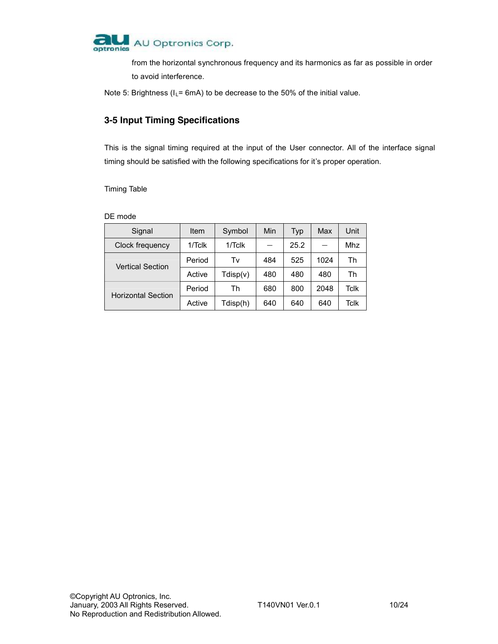

from the horizontal synchronous frequency and its harmonics as far as possible in order to avoid interference.

Note 5: Brightness ( $I_L$ = 6mA) to be decrease to the 50% of the initial value.

### **3-5 Input Timing Specifications**

This is the signal timing required at the input of the User connector. All of the interface signal timing should be satisfied with the following specifications for it's proper operation.

Timing Table

#### DE mode

| Signal                    | Item      | Symbol    | Min | Typ  | Max  | Unit |
|---------------------------|-----------|-----------|-----|------|------|------|
| Clock frequency           | $1/T$ clk | $1/T$ clk |     | 25.2 |      | Mhz  |
| <b>Vertical Section</b>   | Period    | Tv        | 484 | 525  | 1024 | Th   |
|                           | Active    | Tdisp(v)  | 480 | 480  | 480  | Th   |
| <b>Horizontal Section</b> | Period    | Th        | 680 | 800  | 2048 | Tclk |
|                           | Active    | Tdisp(h)  | 640 | 640  | 640  | Tclk |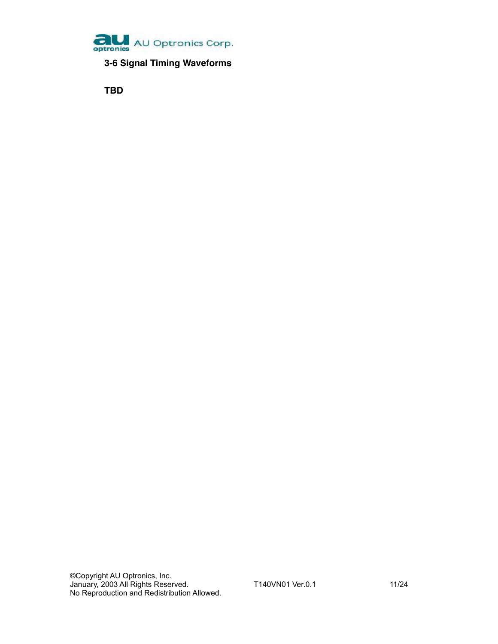

**3-6 Signal Timing Waveforms**

**TBD**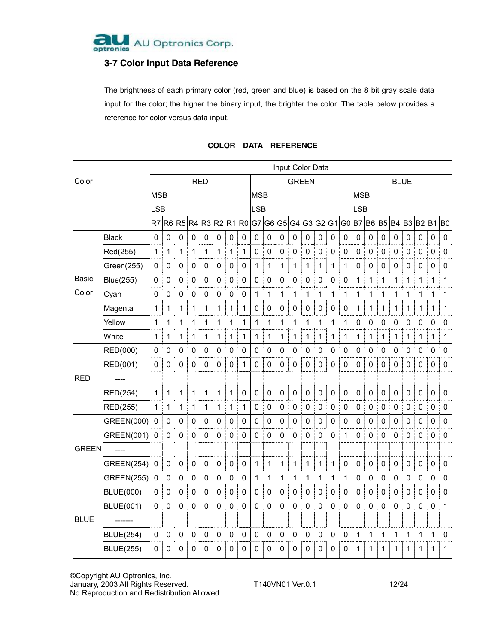

### **3-7 Color Input Data Reference**

The brightness of each primary color (red, green and blue) is based on the 8 bit gray scale data input for the color; the higher the binary input, the brighter the color. The table below provides a reference for color versus data input.

|              |                   | Input Color Data |             |             |                      |              |                |                   |                         |                |                     |                |             |             |             |             |             |                |                |                |             |                |                |             |                |
|--------------|-------------------|------------------|-------------|-------------|----------------------|--------------|----------------|-------------------|-------------------------|----------------|---------------------|----------------|-------------|-------------|-------------|-------------|-------------|----------------|----------------|----------------|-------------|----------------|----------------|-------------|----------------|
| Color        |                   | <b>RED</b>       |             |             |                      |              |                | <b>GREEN</b>      |                         |                |                     |                | <b>BLUE</b> |             |             |             |             |                |                |                |             |                |                |             |                |
|              |                   |                  | <b>MSB</b>  |             |                      |              |                |                   | <b>MSB</b>              |                |                     |                |             | <b>MSB</b>  |             |             |             |                |                |                |             |                |                |             |                |
|              |                   |                  |             |             |                      |              |                |                   |                         | <b>LSB</b>     |                     |                |             |             |             |             |             | <b>LSB</b>     |                |                |             |                |                |             |                |
|              |                   |                  |             |             | R7 R6 R5 R4 R3 R2 R1 |              |                |                   | R0 G7 G6 G5 G4 G3 G2 G1 |                |                     |                |             |             |             |             | G0 B7 B6 B5 |                |                |                | <b>B4</b>   | B <sub>3</sub> | <b>B2</b> B1   |             | B <sub>0</sub> |
|              | <b>Black</b>      | 0                | 0           | $\mathbf 0$ | 0                    | $\mathbf 0$  | 0              | 0                 | $\mathbf 0$             | $\mathbf 0$    | $\mathbf 0$         | $\mathbf 0$    | $\mathbf 0$ | $\mathbf 0$ | 0           | $\mathbf 0$ | 0           | 0              | 0              | $\mathbf 0$    | $\mathbf 0$ | $\mathbf 0$    | 0              | 0           | 0              |
|              | Red(255)          | 1                | 1           | 1           | 1                    | 1            | 1              | $\mathbf 1$       | 1                       | 0              | $\pmb{0}$           | $\pmb{0}$      | $\pmb{0}$   | 0           | $\mathbf 0$ | 0           | 0           | 0              | $\mathbf 0$    | $\mathbf 0$    | 0           | 0              | $\pmb{0}$<br>ţ | 0           | 0              |
|              | Green(255)        | 0                | 0           | 0           | 0                    | 0            | 0              | 0                 | 0                       | 1              | 1                   | 1              | 1           | 1           | 1           | 1           | 1           | 0              | 0              | 0              | 0           | 0              | 0              | 0           | 0              |
| Basic        | <b>Blue(255)</b>  | 0                | 0           | 0           | 0                    | 0            | 0              | 0                 | 0                       | 0              | 0                   | 0              | 0           | 0           | 0           | 0           | 0           | 1              | 1              | 1              | 1           | 1              | 1              | 1           | 1              |
| Color        | Cyan              | $\mathbf 0$      | 0           | 0           | 0                    | 0            | 0              | 0                 | 0                       | 1              | 1                   | 1              | 1           | 1           | 1           | 1           | 1           | 1              | 1              | 1              | 1           | 1              | 1              | 1           | 1              |
|              | Magenta           | $\mathbf{1}$     |             | 1           |                      | 1            | 1              | 1                 | 1                       | 0              | 0                   | $\pmb{0}$      | 0           | 0           | 0           | 0           | 0           | 1              | 1              | 1              | 1           | 1              | 1              | 1           | 1              |
|              | Yellow            | 1                | 1           |             |                      |              | 1              | 1                 | 1                       | 1              | 1                   | 1              | 1           | 1           | 1           | 1           | 1           | 0              | 0              | 0              | 0           | 0              | 0              | 0           | 0              |
|              | White             | $\mathbf{1}$     |             | 1           |                      | 1            | 1              | 1                 | $\mathbf{1}$            | $1 \mid$       | 1                   | $\mathbf{1}$   | $\mathbf 1$ | 1           | 1           | 1           | 1           | $\mathbf{1}$   | $\mathbf{1}$   | $\mathbf{1}$   | $\mathbf 1$ | $\mathbf{1}$   | 1              | 1           | 1              |
|              | RED(000)          | 0                | 0           | 0           | 0                    | 0            | 0              | 0                 | $\mathbf 0$             | $\mathbf 0$    | 0                   | 0              | 0           | 0           | 0           | 0           | 0           | $\mathbf 0$    | 0              | 0              | 0           | 0              | $\mathbf 0$    | $\mathbf 0$ | 0              |
|              | RED(001)          | 0                | 0           | 0           | 0                    | $\pmb{0}$    | $\mathbf 0$    | $\mathbf 0$       | 1                       | 0              | $\mathbf 0$         | $\pmb{0}$      | $\mathbf 0$ | $\pmb{0}$   | $\pmb{0}$   | 0           | 0           | 0              | 0              | 0              | $\mathbf 0$ | 0              | 0              | 0           | 0              |
| <b>RED</b>   |                   |                  |             |             |                      |              |                |                   |                         |                |                     |                |             |             |             |             |             |                |                |                |             |                |                |             |                |
|              | RED(254)          | $\mathbf{1}$     | 1           | 1           | 1                    | $\mathbf{1}$ | 1              | $\mathbf{1}$      | $\mathbf 0$             | 0              | $\mathbf 0$         | $\mathbf 0$    | $\mathbf 0$ | $\mathbf 0$ | 0           | 0           | $\mathbf 0$ | $\mathbf 0$    | $\mathbf 0$    | 0              | 0           | 0              | $\mathbf 0$    | 0           | 0              |
|              | RED(255)          | $\mathbf 1$      | 1           | 1           | 1                    | 1            | $\mathbf{1}$   | $\mathbf{1}$<br>ŧ | 1                       | 0              | $\mathbf 0$         | $\pmb{0}$      | 0           | $\pmb{0}$   | $\mathbf 0$ | 0           | $\mathbf 0$ | 0              | $\pmb{0}$      | $\pmb{0}$      | 0           | 0              | $\pmb{0}$      | $\mathbf 0$ | 0              |
|              | GREEN(000)        | $\pmb{0}$        | $\mathbf 0$ | 0           | 0                    | $\pmb{0}$    | 0              | $\mathbf 0$       | 0                       | $\mathbf 0$    | $\mathsf{O}\xspace$ | $\mathbf 0$    | 0           | $\pmb{0}$   | $\pmb{0}$   | $\mathbf 0$ | 0           | 0              | $\mathbf 0$    | $\mathbf 0$    | 0           | $\mathbf 0$    | 0              | $\mathbf 0$ | 0              |
|              | GREEN(001)        | $\pmb{0}$        | 0           | 0           | 0                    | 0            | 0              | 0                 | 0                       | 0              | 0                   | 0              | 0           | 0           | $\mathbf 0$ | 0           | 1           | 0              | 0              | 0              | 0           | 0              | 0              | $\mathbf 0$ | 0              |
| <b>GREEN</b> | $---$             |                  |             |             |                      |              |                |                   |                         |                |                     |                |             |             |             |             |             |                |                |                |             |                |                |             |                |
|              | <b>GREEN(254)</b> | $\pmb{0}$        | $\pmb{0}$   | $\pmb{0}$   | $\pmb{0}$            | $\pmb{0}$    | $\pmb{0}$      | $\pmb{0}$         | $\pmb{0}$               | $\mathbf{1}$   | $\mathbf 1$         | $\mathbf{1}$   | 1           | 1           | 1           | 1           | $\pmb{0}$   | 0              | $\pmb{0}$      | $\pmb{0}$      | $\mathbf 0$ | 0              | $\pmb{0}$      | $\pmb{0}$   | 0              |
|              | <b>GREEN(255)</b> | $\mathsf 0$      | 0           | 0           | 0                    | 0            | 0              | 0                 | 0                       | $\mathbf{1}$   | 1                   | 1              | 1           | 1           | 1           | 1           | 1           | $\mathbf 0$    | 0              | 0              | 0           | 0              | 0              | 0           | 0              |
|              | <b>BLUE(000)</b>  | $\pmb{0}$        | $\mathbf 0$ | $\mathbf 0$ | 0<br>÷               | $\pmb{0}$    | $\pmb{0}$<br>÷ | $\pmb{0}$         | $\mathbf 0$<br>÷        | 0 <sup>1</sup> | $\pmb{0}$<br>÷      | 0 <sup>1</sup> | 0           | $\pmb{0}$   | $\pmb{0}$   | $\mathsf 0$ | 0           | 0 <sub>1</sub> | $\pmb{0}$<br>÷ | 0 <sup>1</sup> | $\pmb{0}$   | 0<br>÷         | $\pmb{0}$      | 0           | $\Omega$       |
|              | <b>BLUE(001)</b>  | $\mathsf 0$      | 0           | 0           | 0                    | 0            | 0              | $\pmb{0}$         | $\pmb{0}$               | 0              | 0                   | $\pmb{0}$      | 0           | 0           | 0           | 0           | $\pmb{0}$   | 0              | $\pmb{0}$      | 0              | 0           | 0              | 0              | 0           | 1              |
| <b>BLUE</b>  |                   |                  |             |             |                      |              |                |                   |                         |                |                     |                |             |             |             |             |             |                |                |                |             |                |                |             |                |
|              | <b>BLUE(254)</b>  | 0                | 0           | 0           | 0                    | 0            | 0              | 0                 | 0                       | 0              | 0                   | 0              | 0           | 0           | 0           | 0           | 0           | 1              | 1              | 1              | 1           | 1              | 1              | 1           | 0              |
|              | <b>BLUE(255)</b>  | $\mathbf 0$      | 0           | 0           | $\Omega$             | 0            | 0              | 0                 | 0                       | 0              | 0                   | $\Omega$       | 0           | 0           | $\Omega$    | 0           | 0           | 1              | 1              | 1              | 1           | 1              | 1              | 1           | 1              |

#### **COLOR DATA REFERENCE**

©Copyright AU Optronics, Inc. January, 2003 All Rights Reserved. T140VN01 Ver.0.1 12/24

No Reproduction and Redistribution Allowed.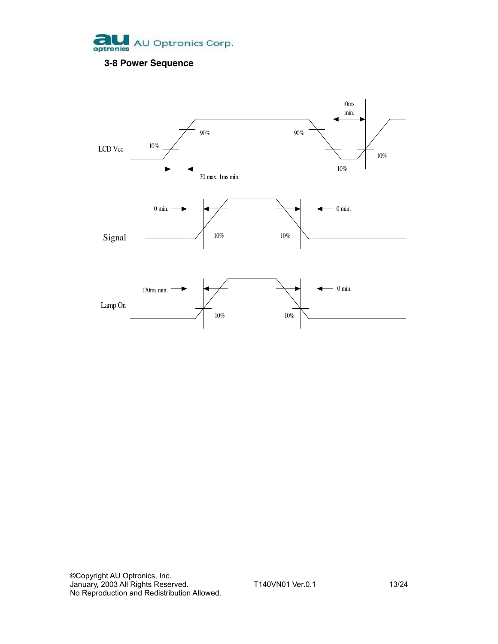

### **3-8 Power Sequence**

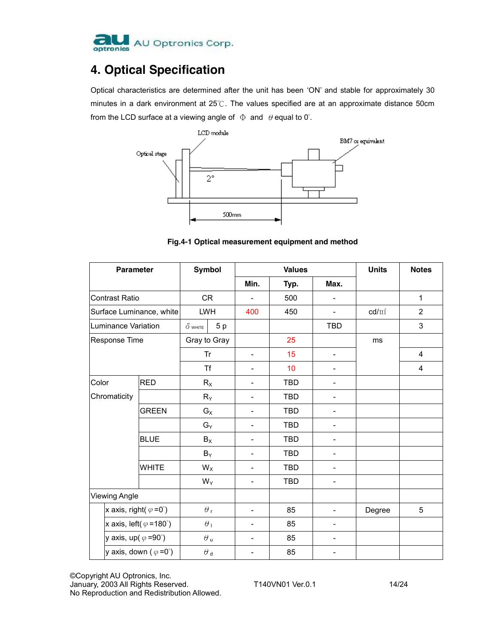

## **4. Optical Specification**

Optical characteristics are determined after the unit has been 'ON' and stable for approximately 30 minutes in a dark environment at 25℃. The values specified are at an approximate distance 50cm from the LCD surface at a viewing angle of  $\Phi$  and  $\theta$  equal to 0°.



**Fig.4-1 Optical measurement equipment and method** 

| <b>Parameter</b>            |                                        | <b>Symbol</b>    |                  |                          | <b>Values</b> | <b>Units</b>             | <b>Notes</b>    |                         |
|-----------------------------|----------------------------------------|------------------|------------------|--------------------------|---------------|--------------------------|-----------------|-------------------------|
|                             |                                        |                  | Min.             | Typ.                     | Max.          |                          |                 |                         |
| Contrast Ratio              |                                        | <b>CR</b>        | $\overline{a}$   | 500                      | -             |                          | $\mathbf{1}$    |                         |
| Surface Luminance, white    |                                        |                  | <b>LWH</b>       | 400                      | 450           | ÷,                       | $\text{cd/m}^2$ | $\overline{2}$          |
| Luminance Variation         |                                        | $\delta$ white   | 5p               |                          |               | <b>TBD</b>               |                 | 3                       |
| Response Time               |                                        |                  | Gray to Gray     |                          | 25            |                          | ms              |                         |
|                             |                                        |                  | Tr               | $\overline{\phantom{a}}$ | 15            | $\overline{\phantom{0}}$ |                 | 4                       |
|                             |                                        |                  | <b>Tf</b>        |                          | 10            |                          |                 | $\overline{\mathbf{4}}$ |
| Color                       | <b>RED</b>                             |                  | $R_X$            |                          | <b>TBD</b>    | -                        |                 |                         |
| Chromaticity                |                                        | $R_Y$            |                  | $\overline{\phantom{a}}$ | <b>TBD</b>    | -                        |                 |                         |
|                             | <b>GREEN</b>                           | $G_X$            |                  | $\overline{\phantom{a}}$ | TBD           | -                        |                 |                         |
|                             |                                        | $G_Y$            |                  | $\overline{\phantom{a}}$ | <b>TBD</b>    | -                        |                 |                         |
|                             | <b>BLUE</b>                            | $B_X$            |                  | $\overline{\phantom{a}}$ | <b>TBD</b>    | -                        |                 |                         |
|                             |                                        |                  | $B_Y$            | $\blacksquare$           | TBD           | -                        |                 |                         |
|                             | <b>WHITE</b>                           | $W_X$            |                  |                          | <b>TBD</b>    | -                        |                 |                         |
|                             |                                        |                  | $W_Y$            | $\overline{\phantom{0}}$ | <b>TBD</b>    | $\overline{a}$           |                 |                         |
| <b>Viewing Angle</b>        |                                        |                  |                  |                          |               |                          |                 |                         |
|                             | x axis, right( $\varphi = 0^{\circ}$ ) |                  | $\theta_{\rm r}$ | $\overline{\phantom{a}}$ | 85            | -                        | Degree          | 5                       |
|                             | x axis, left( $\varphi$ =180°)         | $\theta_{\perp}$ |                  | $\overline{\phantom{a}}$ | 85            | -                        |                 |                         |
| y axis, up( $\varphi$ =90°) |                                        | $\theta$ u       |                  |                          | 85            |                          |                 |                         |
|                             | y axis, down ( $\varphi = 0^{\circ}$ ) |                  | $\theta$ d       | $\overline{\phantom{a}}$ | 85            | $\overline{\phantom{0}}$ |                 |                         |

©Copyright AU Optronics, Inc. January, 2003 All Rights Reserved. T140VN01 Ver.0.1 14/24 No Reproduction and Redistribution Allowed.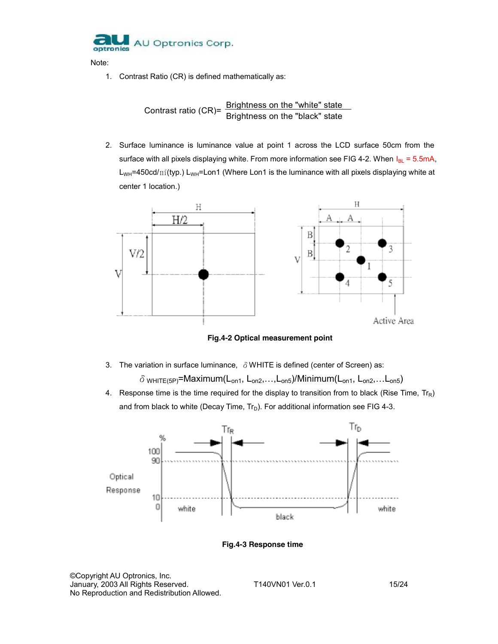

Note:

1. Contrast Ratio (CR) is defined mathematically as:

Contrast ratio (CR)=  $\frac{\text{Brightness on the "white" state}}{\text{Brightness on the "black" state}}$ 

2. Surface luminance is luminance value at point 1 across the LCD surface 50cm from the surface with all pixels displaying white. From more information see FIG 4-2. When  $I_{BL} = 5.5$ mA,  $L_{WH}$ =450cd/ $m^2$ (typ.)  $L_{WH}$ =Lon1 (Where Lon1 is the luminance with all pixels displaying white at center 1 location.)



**Fig.4-2 Optical measurement point**

- 3. The variation in surface luminance,  $\delta$  WHITE is defined (center of Screen) as:  $\delta$  white(5P)=Maximum(L<sub>on1</sub>, L<sub>on2</sub>,...,L<sub>on5</sub>)/Minimum(L<sub>on1</sub>, L<sub>on2</sub>,...L<sub>on5</sub>)
- 4. Response time is the time required for the display to transition from to black (Rise Time,  $Tr_R$ ) and from black to white (Decay Time,  $Tr_D$ ). For additional information see FIG 4-3.



**Fig.4-3 Response time** 

©Copyright AU Optronics, Inc. January, 2003 All Rights Reserved. T140VN01 Ver.0.1 15/24 No Reproduction and Redistribution Allowed.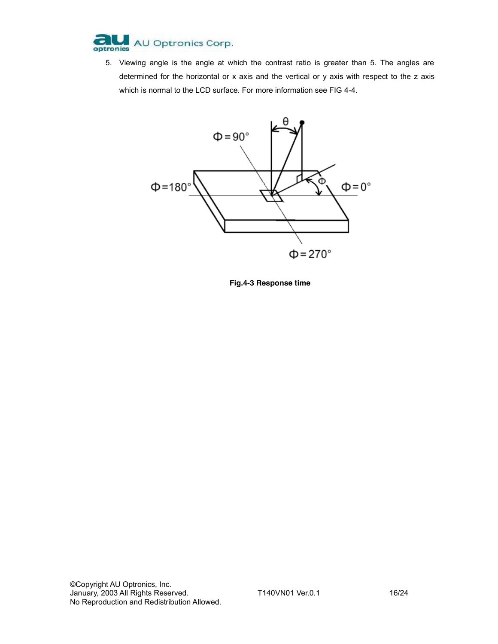

5. Viewing angle is the angle at which the contrast ratio is greater than 5. The angles are determined for the horizontal or x axis and the vertical or y axis with respect to the z axis which is normal to the LCD surface. For more information see FIG 4-4.



**Fig.4-3 Response time**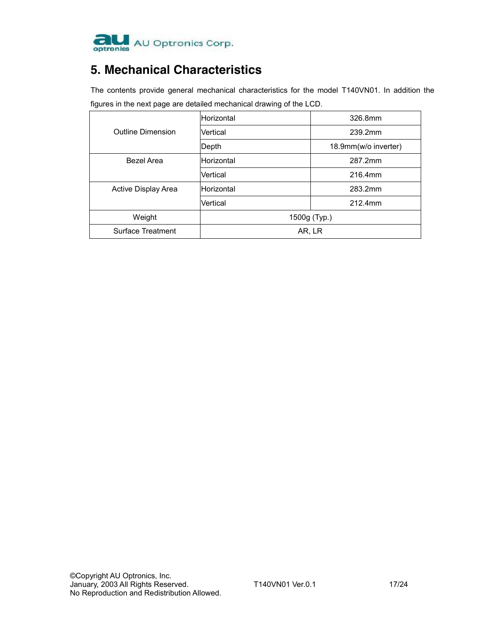

## **5. Mechanical Characteristics**

The contents provide general mechanical characteristics for the model T140VN01. In addition the figures in the next page are detailed mechanical drawing of the LCD.

|                          | Horizontal   | 326.8mm              |  |  |  |  |
|--------------------------|--------------|----------------------|--|--|--|--|
| <b>Outline Dimension</b> | Vertical     | 239.2mm              |  |  |  |  |
|                          | Depth        | 18.9mm(w/o inverter) |  |  |  |  |
| Bezel Area               | Horizontal   | 287.2mm              |  |  |  |  |
|                          | Vertical     | 216.4mm              |  |  |  |  |
| Active Display Area      | Horizontal   | 283.2mm              |  |  |  |  |
|                          | Vertical     | 212.4mm              |  |  |  |  |
| Weight                   | 1500g (Typ.) |                      |  |  |  |  |
| Surface Treatment        | AR, LR       |                      |  |  |  |  |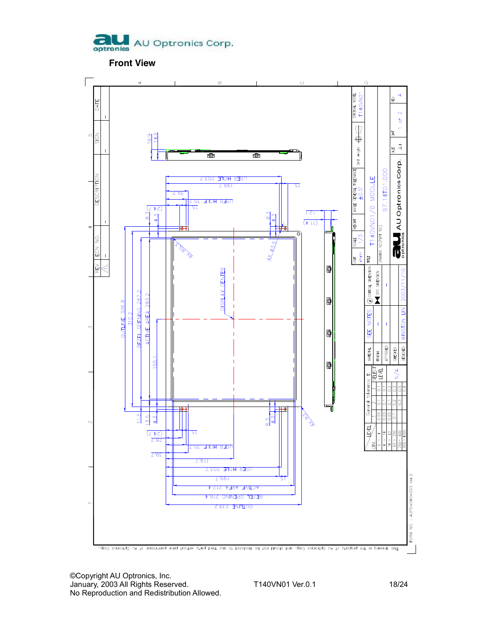

**Front View** 

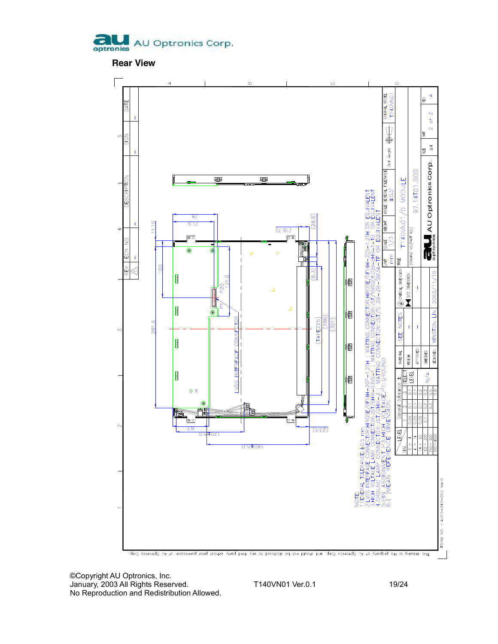

**Rear View** 



©Copyright AU Optronics, Inc. January, 2003 All Rights Reserved. T140VN01 Ver.0.1 19/24 No Reproduction and Redistribution Allowed.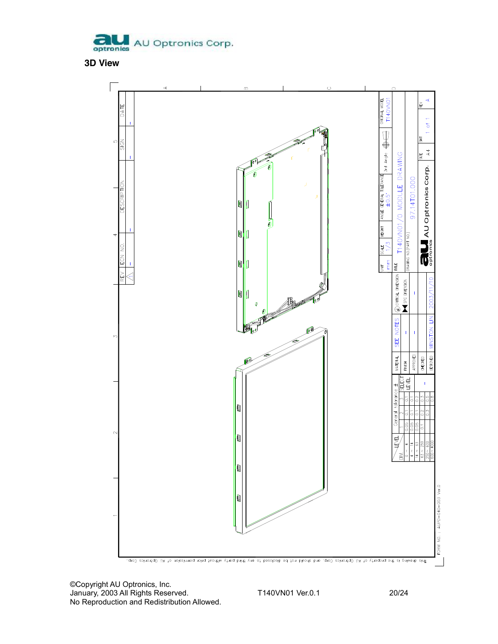

**3D View** 



©Copyright AU Optronics, Inc. January, 2003 All Rights Reserved. T140VN01 Ver.0.1 20/24 No Reproduction and Redistribution Allowed.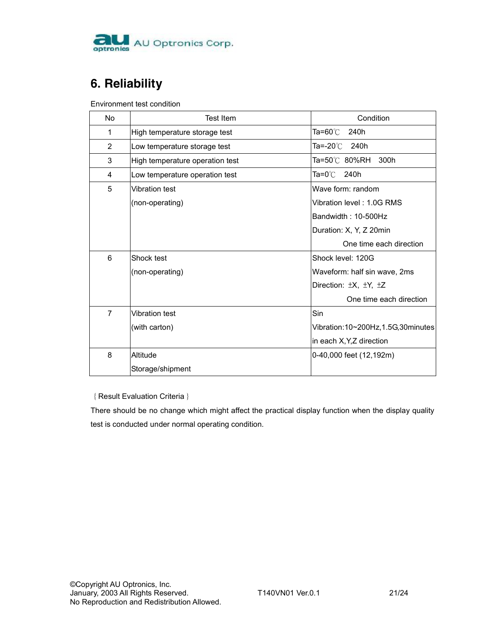

# **6. Reliability**

Environment test condition

| No             | Test Item                       | Condition                         |
|----------------|---------------------------------|-----------------------------------|
| 1              | High temperature storage test   | Ta=60℃.<br>240h                   |
| 2              | Low temperature storage test    | Ta=-20℃<br>240h                   |
| 3              | High temperature operation test | Ta=50℃ 80%RH 300h                 |
| 4              | Low temperature operation test  | Ta=0℃ 240h                        |
| 5              | <b>Vibration test</b>           | Wave form: random                 |
|                | (non-operating)                 | Vibration level: 1.0G RMS         |
|                |                                 | Bandwidth: 10-500Hz               |
|                |                                 | Duration: X, Y, Z 20min           |
|                |                                 | One time each direction           |
| 6              | Shock test                      | Shock level: 120G                 |
|                | (non-operating)                 | Waveform: half sin wave, 2ms      |
|                |                                 | Direction: ±X, ±Y, ±Z             |
|                |                                 | One time each direction           |
| $\overline{7}$ | <b>Vibration test</b>           | Sin                               |
|                | (with carton)                   | Vibration:10~200Hz,1.5G,30minutes |
|                |                                 | in each X, Y, Z direction         |
| 8              | Altitude                        | 0-40,000 feet (12,192m)           |
|                | Storage/shipment                |                                   |

{Result Evaluation Criteria}

There should be no change which might affect the practical display function when the display quality test is conducted under normal operating condition.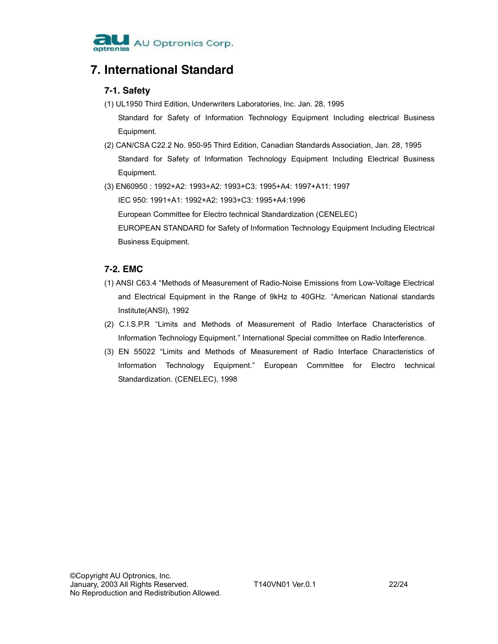

### **7. International Standard**

### **7-1. Safety**

- (1) UL1950 Third Edition, Underwriters Laboratories, Inc. Jan. 28, 1995 Standard for Safety of Information Technology Equipment Including electrical Business Equipment.
- (2) CAN/CSA C22.2 No. 950-95 Third Edition, Canadian Standards Association, Jan. 28, 1995 Standard for Safety of Information Technology Equipment Including Electrical Business Equipment.
- (3) EN60950 : 1992+A2: 1993+A2: 1993+C3: 1995+A4: 1997+A11: 1997

IEC 950: 1991+A1: 1992+A2: 1993+C3: 1995+A4:1996 European Committee for Electro technical Standardization (CENELEC) EUROPEAN STANDARD for Safety of Information Technology Equipment Including Electrical Business Equipment.

### **7-2. EMC**

- (1) ANSI C63.4 "Methods of Measurement of Radio-Noise Emissions from Low-Voltage Electrical and Electrical Equipment in the Range of 9kHz to 40GHz. "American National standards Institute(ANSI), 1992
- (2) C.I.S.P.R "Limits and Methods of Measurement of Radio Interface Characteristics of Information Technology Equipment." International Special committee on Radio Interference.
- (3) EN 55022 "Limits and Methods of Measurement of Radio Interface Characteristics of Information Technology Equipment." European Committee for Electro technical Standardization. (CENELEC), 1998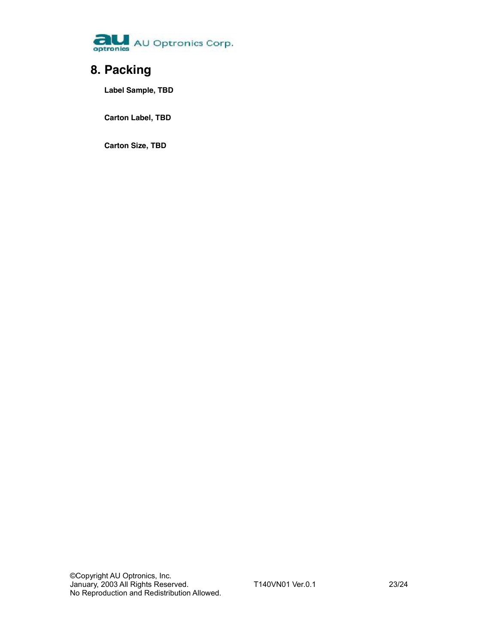

# **8. Packing**

**Label Sample, TBD** 

**Carton Label, TBD** 

**Carton Size, TBD**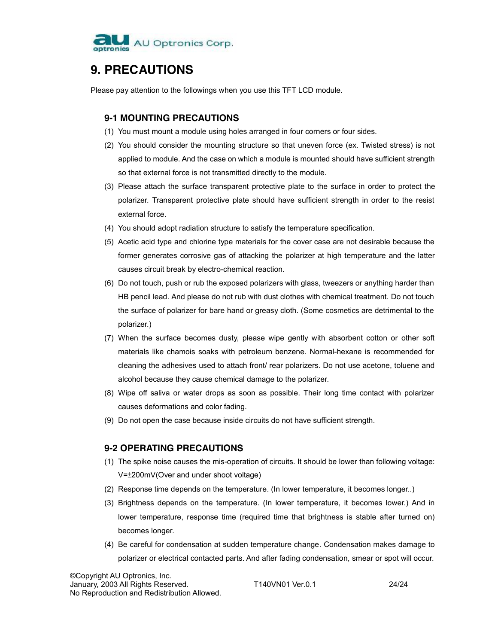

## **9. PRECAUTIONS**

Please pay attention to the followings when you use this TFT LCD module.

#### **9-1 MOUNTING PRECAUTIONS**

- (1) You must mount a module using holes arranged in four corners or four sides.
- (2) You should consider the mounting structure so that uneven force (ex. Twisted stress) is not applied to module. And the case on which a module is mounted should have sufficient strength so that external force is not transmitted directly to the module.
- (3) Please attach the surface transparent protective plate to the surface in order to protect the polarizer. Transparent protective plate should have sufficient strength in order to the resist external force.
- (4) You should adopt radiation structure to satisfy the temperature specification.
- (5) Acetic acid type and chlorine type materials for the cover case are not desirable because the former generates corrosive gas of attacking the polarizer at high temperature and the latter causes circuit break by electro-chemical reaction.
- (6) Do not touch, push or rub the exposed polarizers with glass, tweezers or anything harder than HB pencil lead. And please do not rub with dust clothes with chemical treatment. Do not touch the surface of polarizer for bare hand or greasy cloth. (Some cosmetics are detrimental to the polarizer.)
- (7) When the surface becomes dusty, please wipe gently with absorbent cotton or other soft materials like chamois soaks with petroleum benzene. Normal-hexane is recommended for cleaning the adhesives used to attach front/ rear polarizers. Do not use acetone, toluene and alcohol because they cause chemical damage to the polarizer.
- (8) Wipe off saliva or water drops as soon as possible. Their long time contact with polarizer causes deformations and color fading.
- (9) Do not open the case because inside circuits do not have sufficient strength.

### **9-2 OPERATING PRECAUTIONS**

- (1) The spike noise causes the mis-operation of circuits. It should be lower than following voltage: V=±200mV(Over and under shoot voltage)
- (2) Response time depends on the temperature. (In lower temperature, it becomes longer..)
- (3) Brightness depends on the temperature. (In lower temperature, it becomes lower.) And in lower temperature, response time (required time that brightness is stable after turned on) becomes longer.
- (4) Be careful for condensation at sudden temperature change. Condensation makes damage to polarizer or electrical contacted parts. And after fading condensation, smear or spot will occur.